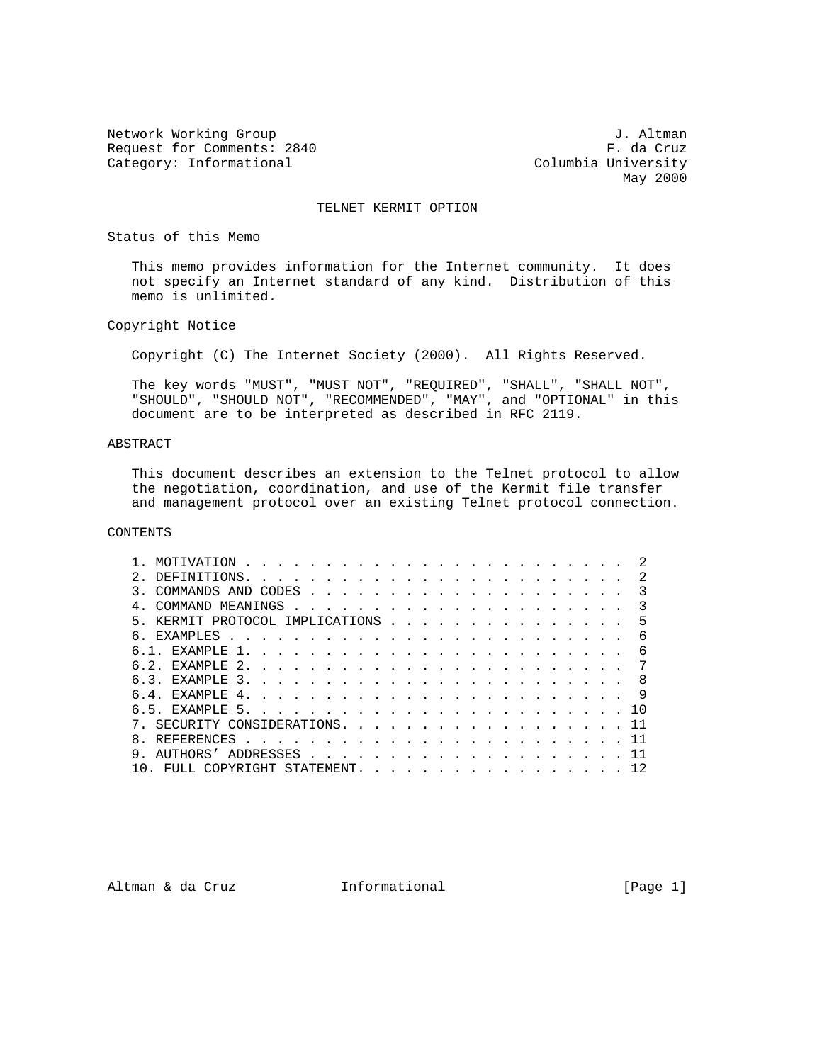Network Working Group 3. Altman J. Altman Request for Comments: 2840 F. da Cruz<br>Category: Informational example and Columbia University Category: Informational

May 2000

#### TELNET KERMIT OPTION

#### Status of this Memo

 This memo provides information for the Internet community. It does not specify an Internet standard of any kind. Distribution of this memo is unlimited.

### Copyright Notice

Copyright (C) The Internet Society (2000). All Rights Reserved.

 The key words "MUST", "MUST NOT", "REQUIRED", "SHALL", "SHALL NOT", "SHOULD", "SHOULD NOT", "RECOMMENDED", "MAY", and "OPTIONAL" in this document are to be interpreted as described in RFC 2119.

# ABSTRACT

 This document describes an extension to the Telnet protocol to allow the negotiation, coordination, and use of the Kermit file transfer and management protocol over an existing Telnet protocol connection.

## CONTENTS

|  | MOTIVATION                   |                                                                                                                                                                                                                                      | and the second control of the second control of the second control of the second control of the second control of the second control of the second control of the second control of the second control of the second control o |               |  |  |  |  |  |  |  |  |  |     |
|--|------------------------------|--------------------------------------------------------------------------------------------------------------------------------------------------------------------------------------------------------------------------------------|--------------------------------------------------------------------------------------------------------------------------------------------------------------------------------------------------------------------------------|---------------|--|--|--|--|--|--|--|--|--|-----|
|  | DEFINITIONS.                 |                                                                                                                                                                                                                                      |                                                                                                                                                                                                                                |               |  |  |  |  |  |  |  |  |  |     |
|  | COMMANDS AND CODES           |                                                                                                                                                                                                                                      |                                                                                                                                                                                                                                | $\frac{1}{2}$ |  |  |  |  |  |  |  |  |  |     |
|  |                              |                                                                                                                                                                                                                                      |                                                                                                                                                                                                                                |               |  |  |  |  |  |  |  |  |  |     |
|  | KERMIT PROTOCOL IMPLICATIONS |                                                                                                                                                                                                                                      |                                                                                                                                                                                                                                |               |  |  |  |  |  |  |  |  |  | 5   |
|  | EXAMPLES                     | <u>. Karl Andrea Stadt Andrea Stadt Andrea Stadt Andrea Stadt Andrea Stadt Andrea Stadt Andrea Stadt Andrea Stadt Andrea Stadt Andrea Stadt Andrea Stadt Andrea Stadt Andrea Stadt Andrea Stadt Andrea Stadt Andrea Stadt Andrea</u> |                                                                                                                                                                                                                                |               |  |  |  |  |  |  |  |  |  |     |
|  | F.XAMPLF.                    | $\overline{1}$ .                                                                                                                                                                                                                     |                                                                                                                                                                                                                                |               |  |  |  |  |  |  |  |  |  | 6   |
|  | EXAMPLE 2.                   |                                                                                                                                                                                                                                      |                                                                                                                                                                                                                                |               |  |  |  |  |  |  |  |  |  |     |
|  | EXAMPLE 3.                   |                                                                                                                                                                                                                                      |                                                                                                                                                                                                                                |               |  |  |  |  |  |  |  |  |  | -8  |
|  | EXAMPLE 4.                   |                                                                                                                                                                                                                                      |                                                                                                                                                                                                                                |               |  |  |  |  |  |  |  |  |  |     |
|  | EXAMPLE 5.                   |                                                                                                                                                                                                                                      |                                                                                                                                                                                                                                |               |  |  |  |  |  |  |  |  |  | ា ∩ |
|  | SECURITY CONSIDERATIONS.     |                                                                                                                                                                                                                                      |                                                                                                                                                                                                                                |               |  |  |  |  |  |  |  |  |  |     |
|  | REFERENCES                   |                                                                                                                                                                                                                                      |                                                                                                                                                                                                                                |               |  |  |  |  |  |  |  |  |  |     |
|  | AIITHORS'                    |                                                                                                                                                                                                                                      |                                                                                                                                                                                                                                |               |  |  |  |  |  |  |  |  |  |     |
|  |                              | COPYRIGHT                                                                                                                                                                                                                            |                                                                                                                                                                                                                                | STATEMENT.    |  |  |  |  |  |  |  |  |  | 12  |

Altman & da Cruz **Informational** (Page 1)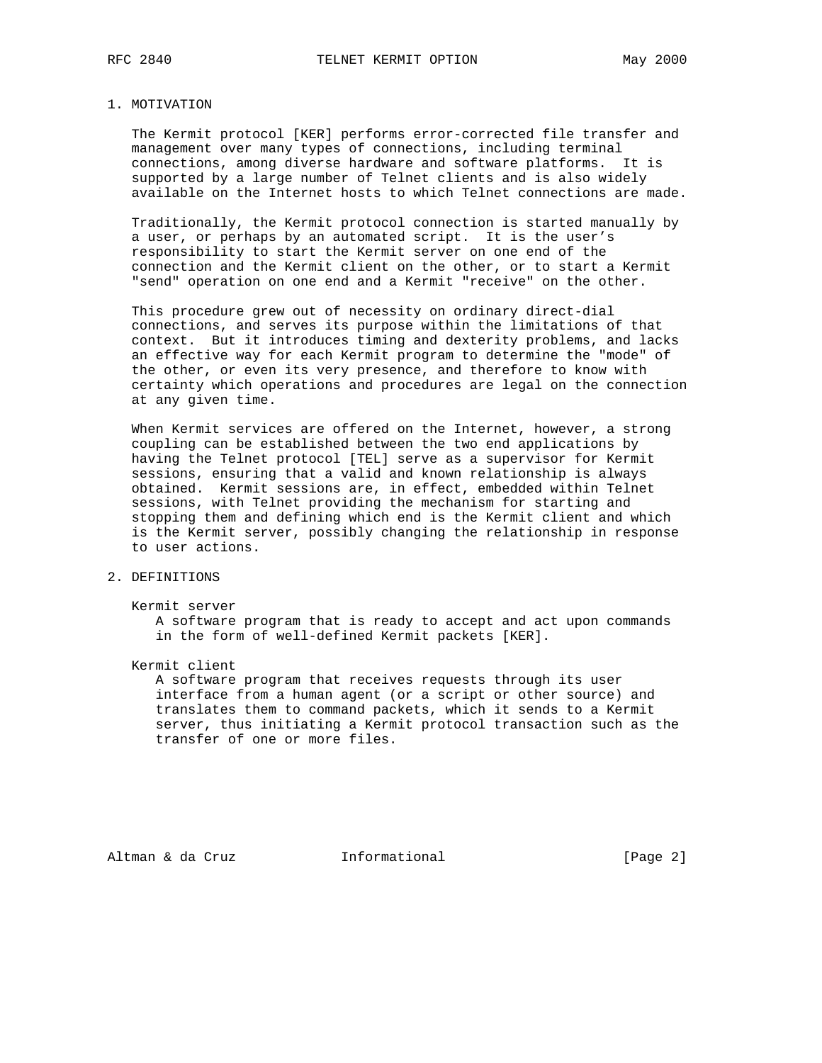#### 1. MOTIVATION

 The Kermit protocol [KER] performs error-corrected file transfer and management over many types of connections, including terminal connections, among diverse hardware and software platforms. It is supported by a large number of Telnet clients and is also widely available on the Internet hosts to which Telnet connections are made.

 Traditionally, the Kermit protocol connection is started manually by a user, or perhaps by an automated script. It is the user's responsibility to start the Kermit server on one end of the connection and the Kermit client on the other, or to start a Kermit "send" operation on one end and a Kermit "receive" on the other.

 This procedure grew out of necessity on ordinary direct-dial connections, and serves its purpose within the limitations of that context. But it introduces timing and dexterity problems, and lacks an effective way for each Kermit program to determine the "mode" of the other, or even its very presence, and therefore to know with certainty which operations and procedures are legal on the connection at any given time.

 When Kermit services are offered on the Internet, however, a strong coupling can be established between the two end applications by having the Telnet protocol [TEL] serve as a supervisor for Kermit sessions, ensuring that a valid and known relationship is always obtained. Kermit sessions are, in effect, embedded within Telnet sessions, with Telnet providing the mechanism for starting and stopping them and defining which end is the Kermit client and which is the Kermit server, possibly changing the relationship in response to user actions.

# 2. DEFINITIONS

 Kermit server A software program that is ready to accept and act upon commands in the form of well-defined Kermit packets [KER].

Kermit client

 A software program that receives requests through its user interface from a human agent (or a script or other source) and translates them to command packets, which it sends to a Kermit server, thus initiating a Kermit protocol transaction such as the transfer of one or more files.

Altman & da Cruz **Informational** [Page 2]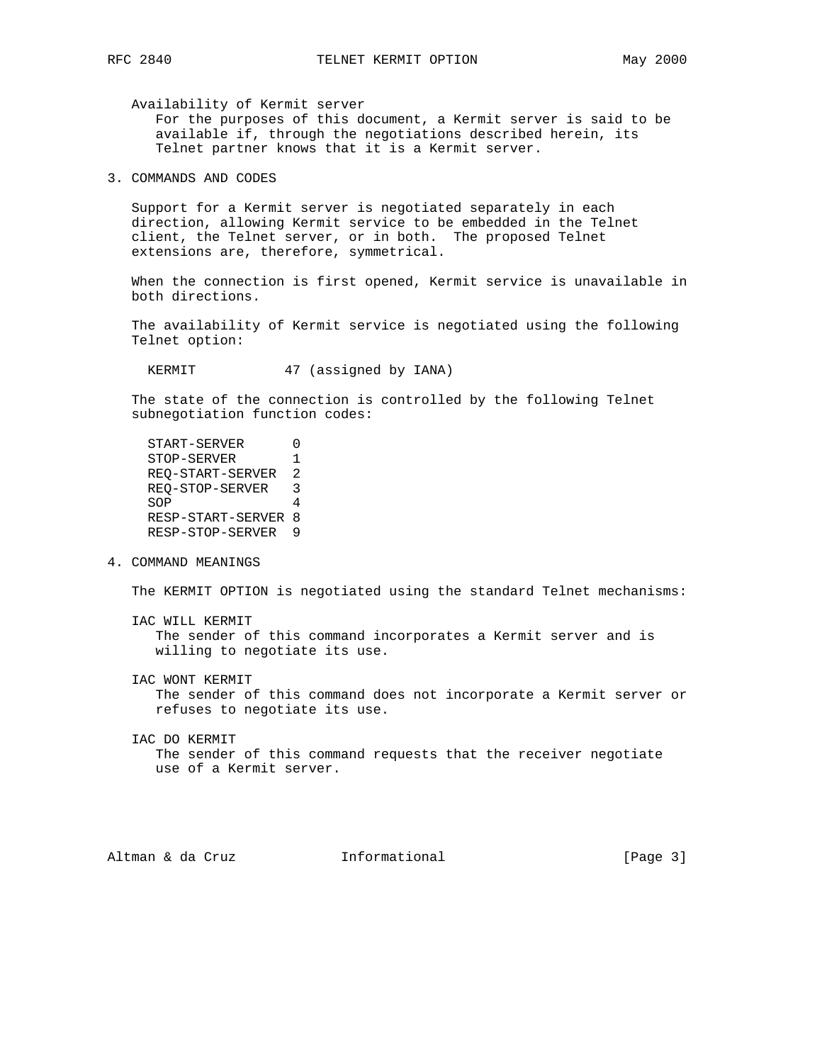Availability of Kermit server

 For the purposes of this document, a Kermit server is said to be available if, through the negotiations described herein, its Telnet partner knows that it is a Kermit server.

3. COMMANDS AND CODES

 Support for a Kermit server is negotiated separately in each direction, allowing Kermit service to be embedded in the Telnet client, the Telnet server, or in both. The proposed Telnet extensions are, therefore, symmetrical.

 When the connection is first opened, Kermit service is unavailable in both directions.

 The availability of Kermit service is negotiated using the following Telnet option:

KERMIT 47 (assigned by IANA)

 The state of the connection is controlled by the following Telnet subnegotiation function codes:

```
START-SERVER 0<br>STOP-SERVER 1
STOP-SERVER
 REQ-START-SERVER 2
 REQ-STOP-SERVER 3
SOP
 RESP-START-SERVER 8
 RESP-STOP-SERVER 9
```
4. COMMAND MEANINGS

The KERMIT OPTION is negotiated using the standard Telnet mechanisms:

 IAC WILL KERMIT The sender of this command incorporates a Kermit server and is willing to negotiate its use.

IAC WONT KERMIT

 The sender of this command does not incorporate a Kermit server or refuses to negotiate its use.

 IAC DO KERMIT The sender of this command requests that the receiver negotiate use of a Kermit server.

Altman & da Cruz **Informational** (Page 3)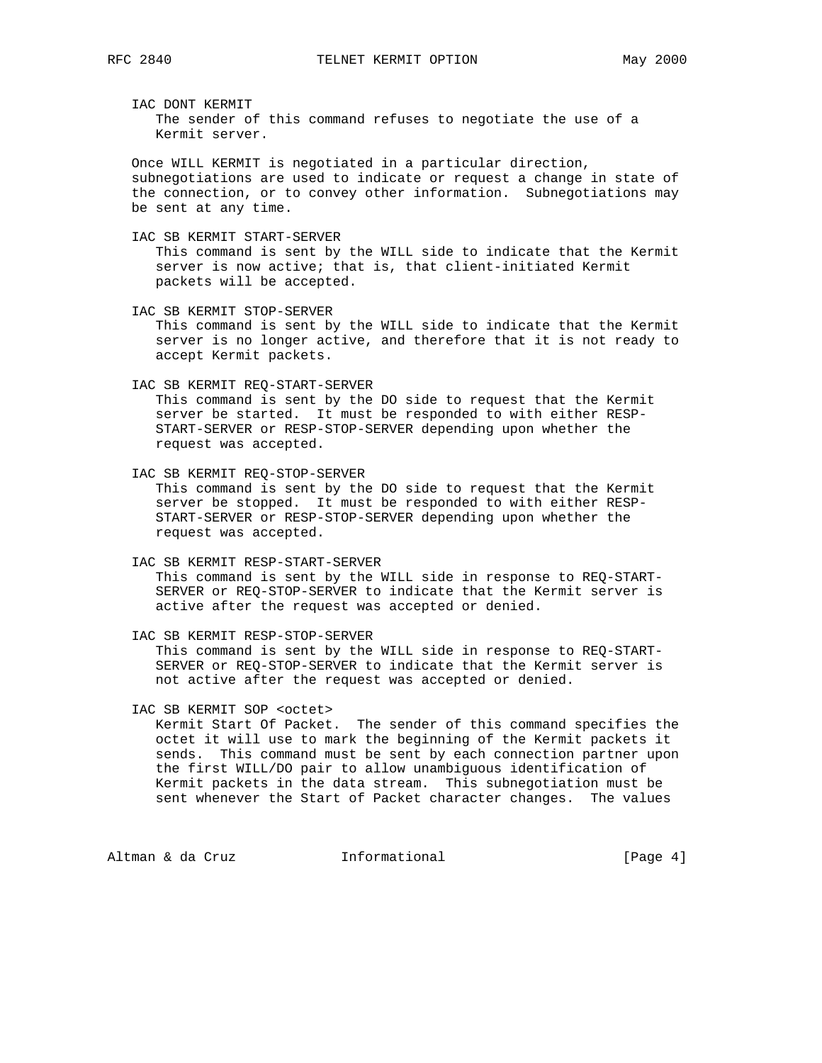IAC DONT KERMIT The sender of this command refuses to negotiate the use of a Kermit server.

 Once WILL KERMIT is negotiated in a particular direction, subnegotiations are used to indicate or request a change in state of the connection, or to convey other information. Subnegotiations may be sent at any time.

 IAC SB KERMIT START-SERVER This command is sent by the WILL side to indicate that the Kermit server is now active; that is, that client-initiated Kermit packets will be accepted.

 IAC SB KERMIT STOP-SERVER This command is sent by the WILL side to indicate that the Kermit server is no longer active, and therefore that it is not ready to accept Kermit packets.

IAC SB KERMIT REQ-START-SERVER

 This command is sent by the DO side to request that the Kermit server be started. It must be responded to with either RESP- START-SERVER or RESP-STOP-SERVER depending upon whether the request was accepted.

 IAC SB KERMIT REQ-STOP-SERVER This command is sent by the DO side to request that the Kermit server be stopped. It must be responded to with either RESP- START-SERVER or RESP-STOP-SERVER depending upon whether the request was accepted.

 IAC SB KERMIT RESP-START-SERVER This command is sent by the WILL side in response to REQ-START- SERVER or REQ-STOP-SERVER to indicate that the Kermit server is active after the request was accepted or denied.

 IAC SB KERMIT RESP-STOP-SERVER This command is sent by the WILL side in response to REQ-START- SERVER or REQ-STOP-SERVER to indicate that the Kermit server is not active after the request was accepted or denied.

IAC SB KERMIT SOP <octet>

 Kermit Start Of Packet. The sender of this command specifies the octet it will use to mark the beginning of the Kermit packets it sends. This command must be sent by each connection partner upon the first WILL/DO pair to allow unambiguous identification of Kermit packets in the data stream. This subnegotiation must be sent whenever the Start of Packet character changes. The values

Altman & da Cruz **Informational** [Page 4]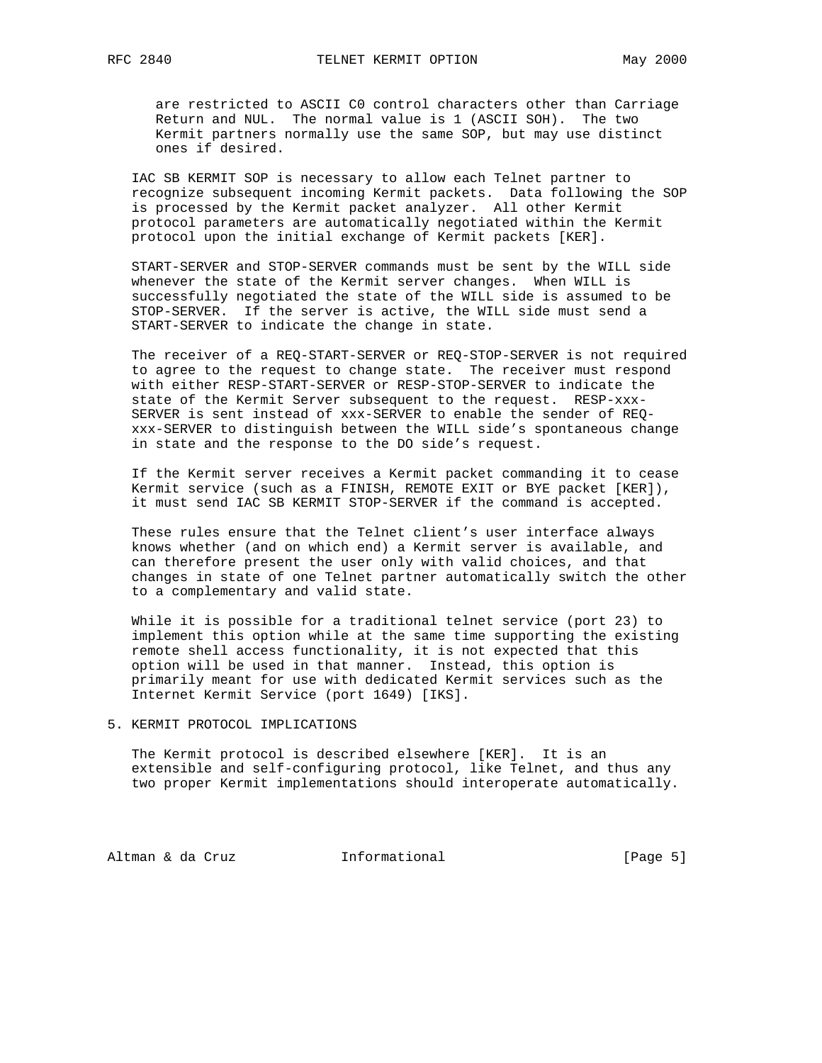are restricted to ASCII C0 control characters other than Carriage Return and NUL. The normal value is 1 (ASCII SOH). The two Kermit partners normally use the same SOP, but may use distinct ones if desired.

 IAC SB KERMIT SOP is necessary to allow each Telnet partner to recognize subsequent incoming Kermit packets. Data following the SOP is processed by the Kermit packet analyzer. All other Kermit protocol parameters are automatically negotiated within the Kermit protocol upon the initial exchange of Kermit packets [KER].

 START-SERVER and STOP-SERVER commands must be sent by the WILL side whenever the state of the Kermit server changes. When WILL is successfully negotiated the state of the WILL side is assumed to be STOP-SERVER. If the server is active, the WILL side must send a START-SERVER to indicate the change in state.

 The receiver of a REQ-START-SERVER or REQ-STOP-SERVER is not required to agree to the request to change state. The receiver must respond with either RESP-START-SERVER or RESP-STOP-SERVER to indicate the state of the Kermit Server subsequent to the request. RESP-xxx- SERVER is sent instead of xxx-SERVER to enable the sender of REQ xxx-SERVER to distinguish between the WILL side's spontaneous change in state and the response to the DO side's request.

 If the Kermit server receives a Kermit packet commanding it to cease Kermit service (such as a FINISH, REMOTE EXIT or BYE packet [KER]), it must send IAC SB KERMIT STOP-SERVER if the command is accepted.

 These rules ensure that the Telnet client's user interface always knows whether (and on which end) a Kermit server is available, and can therefore present the user only with valid choices, and that changes in state of one Telnet partner automatically switch the other to a complementary and valid state.

 While it is possible for a traditional telnet service (port 23) to implement this option while at the same time supporting the existing remote shell access functionality, it is not expected that this option will be used in that manner. Instead, this option is primarily meant for use with dedicated Kermit services such as the Internet Kermit Service (port 1649) [IKS].

# 5. KERMIT PROTOCOL IMPLICATIONS

 The Kermit protocol is described elsewhere [KER]. It is an extensible and self-configuring protocol, like Telnet, and thus any two proper Kermit implementations should interoperate automatically.

Altman & da Cruz **Informational** [Page 5]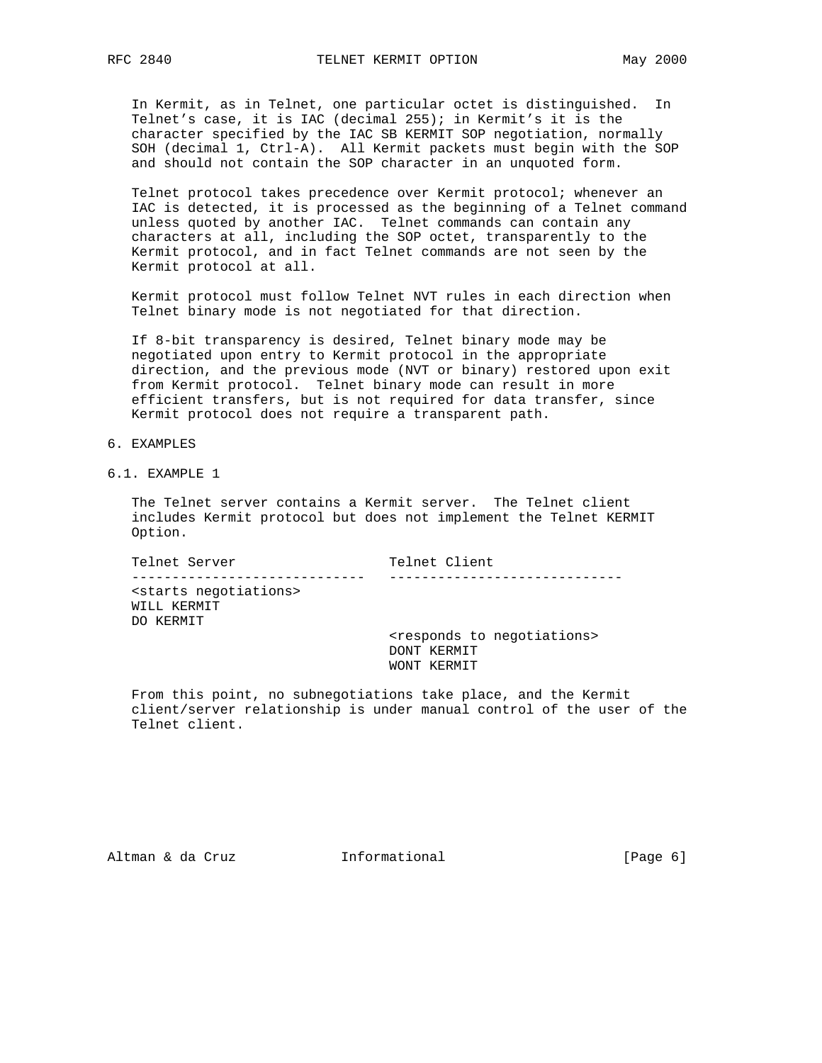In Kermit, as in Telnet, one particular octet is distinguished. In Telnet's case, it is IAC (decimal 255); in Kermit's it is the character specified by the IAC SB KERMIT SOP negotiation, normally SOH (decimal 1, Ctrl-A). All Kermit packets must begin with the SOP and should not contain the SOP character in an unquoted form.

 Telnet protocol takes precedence over Kermit protocol; whenever an IAC is detected, it is processed as the beginning of a Telnet command unless quoted by another IAC. Telnet commands can contain any characters at all, including the SOP octet, transparently to the Kermit protocol, and in fact Telnet commands are not seen by the Kermit protocol at all.

 Kermit protocol must follow Telnet NVT rules in each direction when Telnet binary mode is not negotiated for that direction.

 If 8-bit transparency is desired, Telnet binary mode may be negotiated upon entry to Kermit protocol in the appropriate direction, and the previous mode (NVT or binary) restored upon exit from Kermit protocol. Telnet binary mode can result in more efficient transfers, but is not required for data transfer, since Kermit protocol does not require a transparent path.

- 6. EXAMPLES
- 6.1. EXAMPLE 1

 The Telnet server contains a Kermit server. The Telnet client includes Kermit protocol but does not implement the Telnet KERMIT Option.

Telnet Server Telnet Client ----------------------------- ----------------------------- <starts negotiations> WILL KERMIT DO KERMIT <responds to negotiations>

 DONT KERMIT WONT KERMIT

 From this point, no subnegotiations take place, and the Kermit client/server relationship is under manual control of the user of the Telnet client.

Altman & da Cruz **Informational** (Page 6)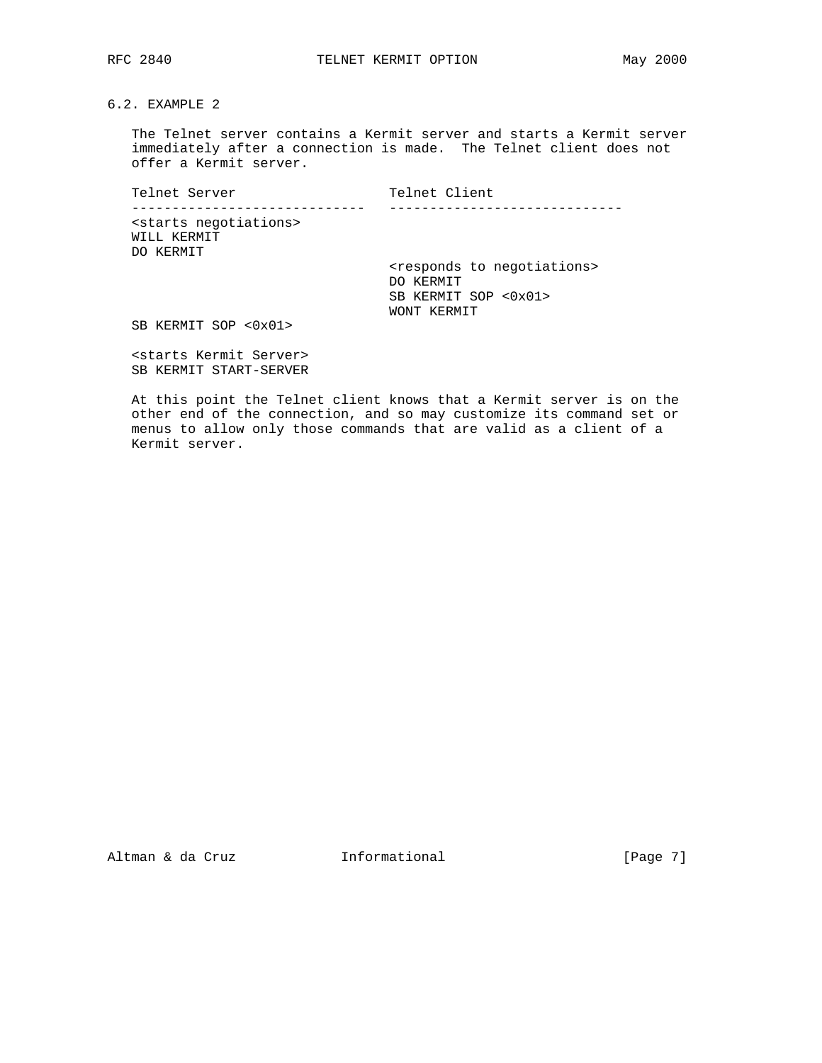6.2. EXAMPLE 2

 The Telnet server contains a Kermit server and starts a Kermit server immediately after a connection is made. The Telnet client does not offer a Kermit server.

Telnet Server Telnet Client ----------------------------- ----------------------------- <starts negotiations> WILL KERMIT DO KERMIT <responds to negotiations> DO KERMIT SB KERMIT SOP <0x01> WONT KERMIT

SB KERMIT SOP <0x01>

 <starts Kermit Server> SB KERMIT START-SERVER

 At this point the Telnet client knows that a Kermit server is on the other end of the connection, and so may customize its command set or menus to allow only those commands that are valid as a client of a Kermit server.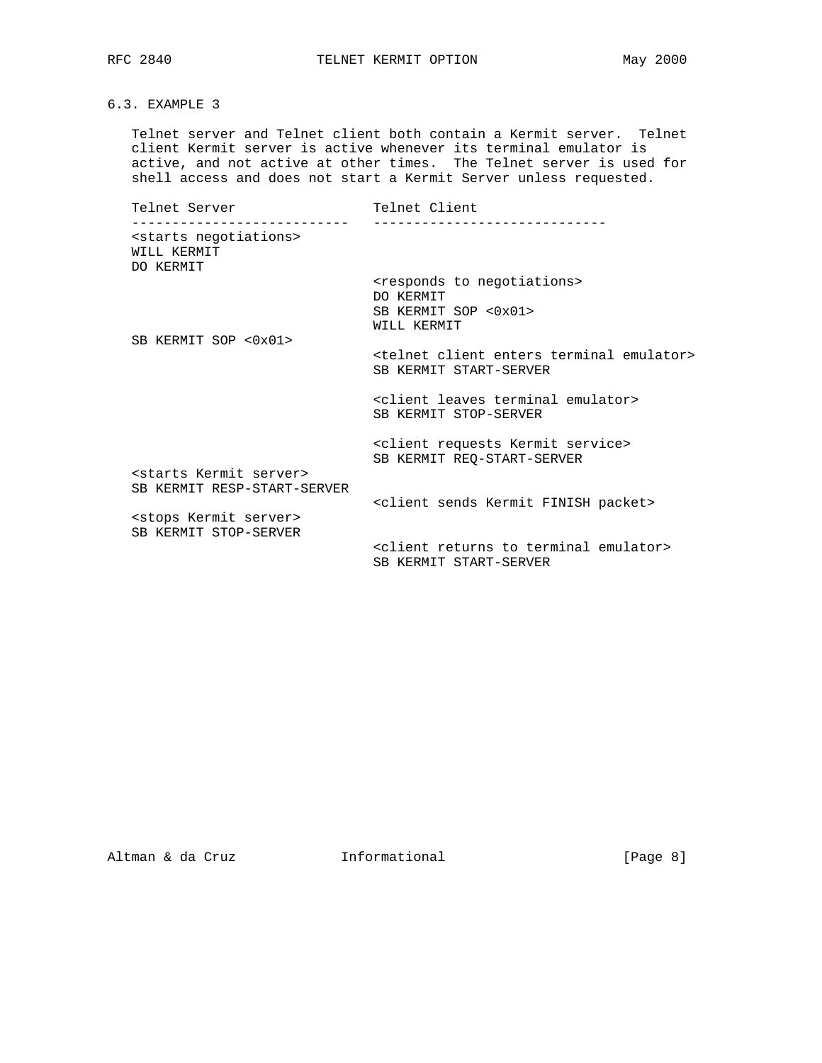RFC 2840 TELNET KERMIT OPTION May 2000

6.3. EXAMPLE 3

 Telnet server and Telnet client both contain a Kermit server. Telnet client Kermit server is active whenever its terminal emulator is active, and not active at other times. The Telnet server is used for shell access and does not start a Kermit Server unless requested.

Telnet Server Telnet Client --------------------------- ----------------------------- <starts negotiations> WILL KERMIT DO KERMIT <responds to negotiations> DO KERMIT SB KERMIT SOP <0x01> WILL KERMIT SB KERMIT SOP <0x01> <telnet client enters terminal emulator> SB KERMIT START-SERVER <client leaves terminal emulator> SB KERMIT STOP-SERVER <client requests Kermit service> SB KERMIT REQ-START-SERVER <starts Kermit server> SB KERMIT RESP-START-SERVER <client sends Kermit FINISH packet> <stops Kermit server> SB KERMIT STOP-SERVER <client returns to terminal emulator> SB KERMIT START-SERVER

Altman & da Cruz **Informational** [Page 8]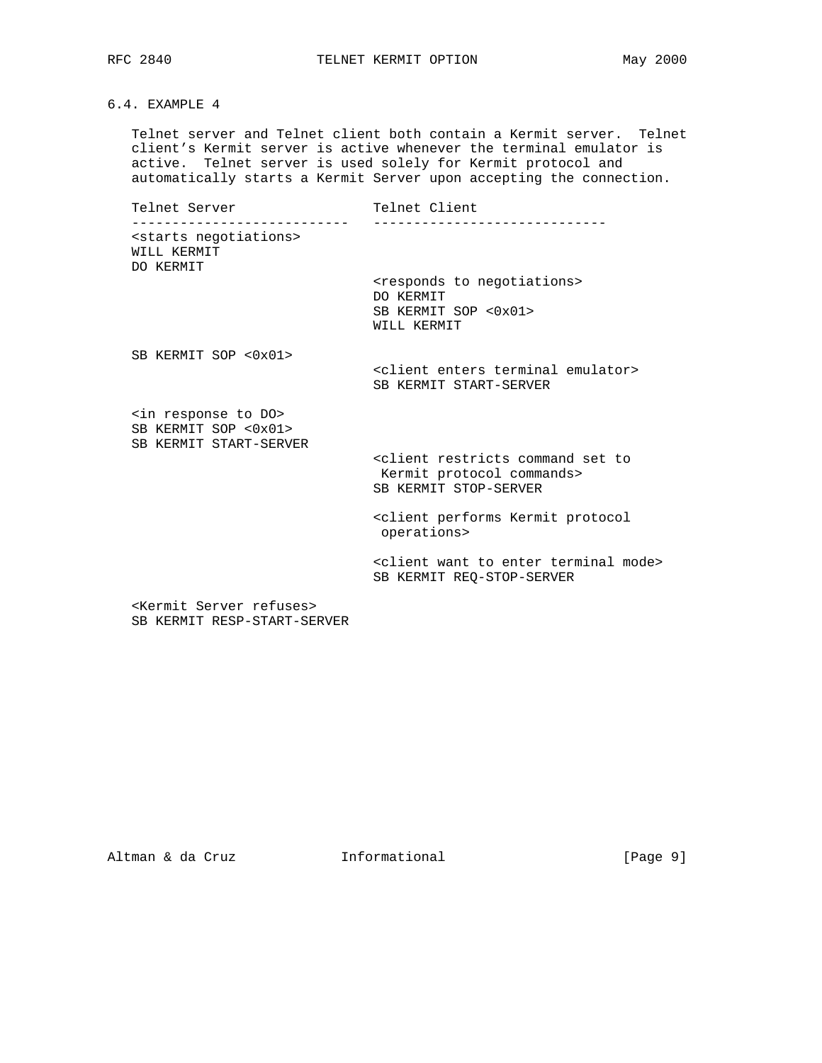RFC 2840 **TELNET KERMIT OPTION** May 2000

# 6.4. EXAMPLE 4

 Telnet server and Telnet client both contain a Kermit server. Telnet client's Kermit server is active whenever the terminal emulator is active. Telnet server is used solely for Kermit protocol and automatically starts a Kermit Server upon accepting the connection.

Telnet Server Telnet Client --------------------------- ----------------------------- <starts negotiations> WILL KERMIT DO KERMIT <responds to negotiations> DO KERMIT SB KERMIT SOP <0x01> WILL KERMIT SB KERMIT SOP <0x01> <client enters terminal emulator> SB KERMIT START-SERVER <in response to DO> SB KERMIT SOP <0x01> SB KERMIT START-SERVER <client restricts command set to Kermit protocol commands> SB KERMIT STOP-SERVER <client performs Kermit protocol operations> <client want to enter terminal mode> SB KERMIT REQ-STOP-SERVER

 <Kermit Server refuses> SB KERMIT RESP-START-SERVER

Altman & da Cruz **Informational** [Page 9]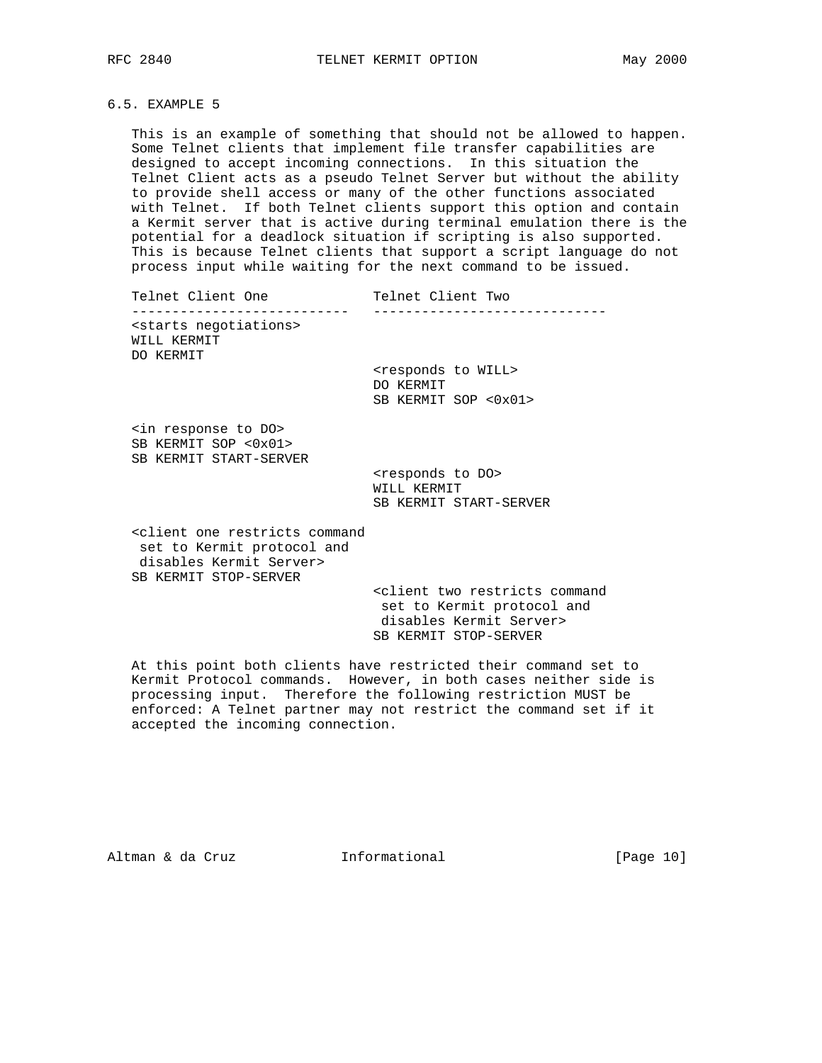## 6.5. EXAMPLE 5

 This is an example of something that should not be allowed to happen. Some Telnet clients that implement file transfer capabilities are designed to accept incoming connections. In this situation the Telnet Client acts as a pseudo Telnet Server but without the ability to provide shell access or many of the other functions associated with Telnet. If both Telnet clients support this option and contain a Kermit server that is active during terminal emulation there is the potential for a deadlock situation if scripting is also supported. This is because Telnet clients that support a script language do not process input while waiting for the next command to be issued.

| Telnet Client One                                               | Telnet Client Two                                 |
|-----------------------------------------------------------------|---------------------------------------------------|
| <starts negotiations=""><br/>WILL KERMIT<br/>DO KERMIT</starts> | <responds to="" will=""><br/>DO KERMIT</responds> |
| <in do="" response="" to=""><br/>CD VEDMIT COD 20v01</in>       | SB KERMIT SOP <0x01>                              |

 SB KERMIT SOP <0x01> SB KERMIT START-SERVER

> <responds to DO> WILL KERMIT SB KERMIT START-SERVER

 <client one restricts command set to Kermit protocol and disables Kermit Server> SB KERMIT STOP-SERVER

> <client two restricts command set to Kermit protocol and disables Kermit Server> SB KERMIT STOP-SERVER

 At this point both clients have restricted their command set to Kermit Protocol commands. However, in both cases neither side is processing input. Therefore the following restriction MUST be enforced: A Telnet partner may not restrict the command set if it accepted the incoming connection.

Altman & da Cruz **Informational** [Page 10]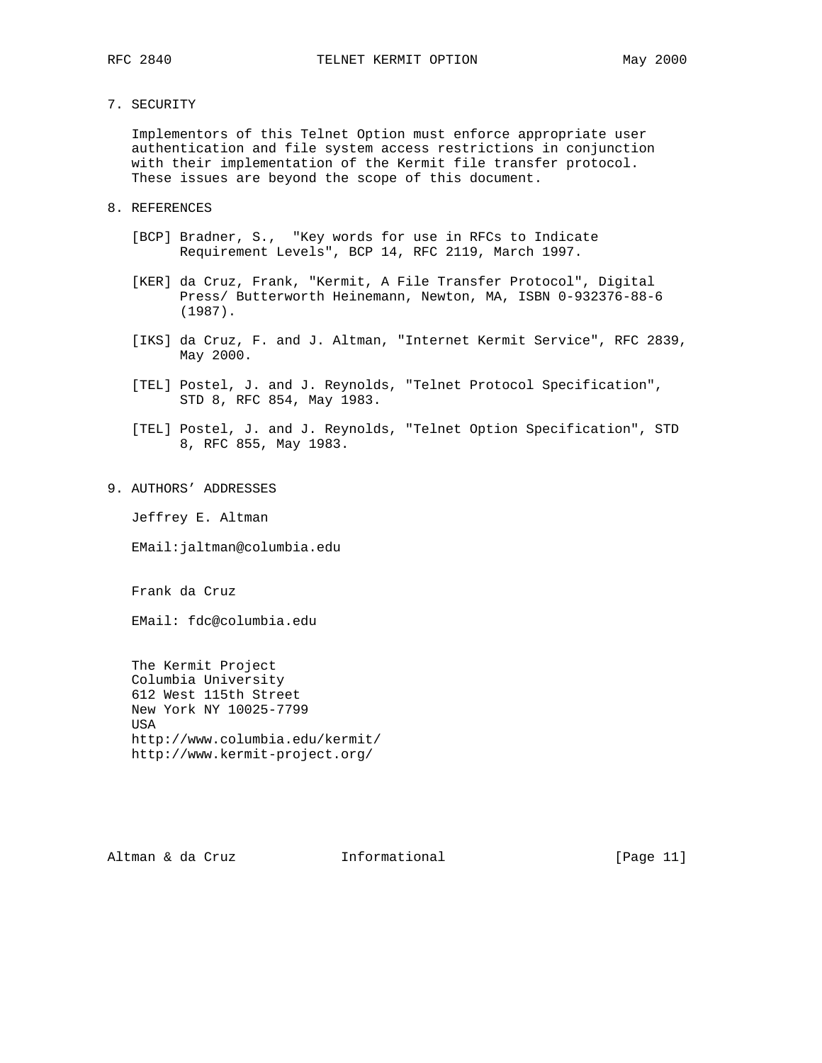7. SECURITY

 Implementors of this Telnet Option must enforce appropriate user authentication and file system access restrictions in conjunction with their implementation of the Kermit file transfer protocol. These issues are beyond the scope of this document.

- 8. REFERENCES
	- [BCP] Bradner, S., "Key words for use in RFCs to Indicate Requirement Levels", BCP 14, RFC 2119, March 1997.
	- [KER] da Cruz, Frank, "Kermit, A File Transfer Protocol", Digital Press/ Butterworth Heinemann, Newton, MA, ISBN 0-932376-88-6 (1987).
	- [IKS] da Cruz, F. and J. Altman, "Internet Kermit Service", RFC 2839, May 2000.
	- [TEL] Postel, J. and J. Reynolds, "Telnet Protocol Specification", STD 8, RFC 854, May 1983.
	- [TEL] Postel, J. and J. Reynolds, "Telnet Option Specification", STD 8, RFC 855, May 1983.
- 9. AUTHORS' ADDRESSES

Jeffrey E. Altman

EMail:jaltman@columbia.edu

Frank da Cruz

EMail: fdc@columbia.edu

 The Kermit Project Columbia University 612 West 115th Street New York NY 10025-7799 USA http://www.columbia.edu/kermit/ http://www.kermit-project.org/

Altman & da Cruz **Informational** [Page 11]